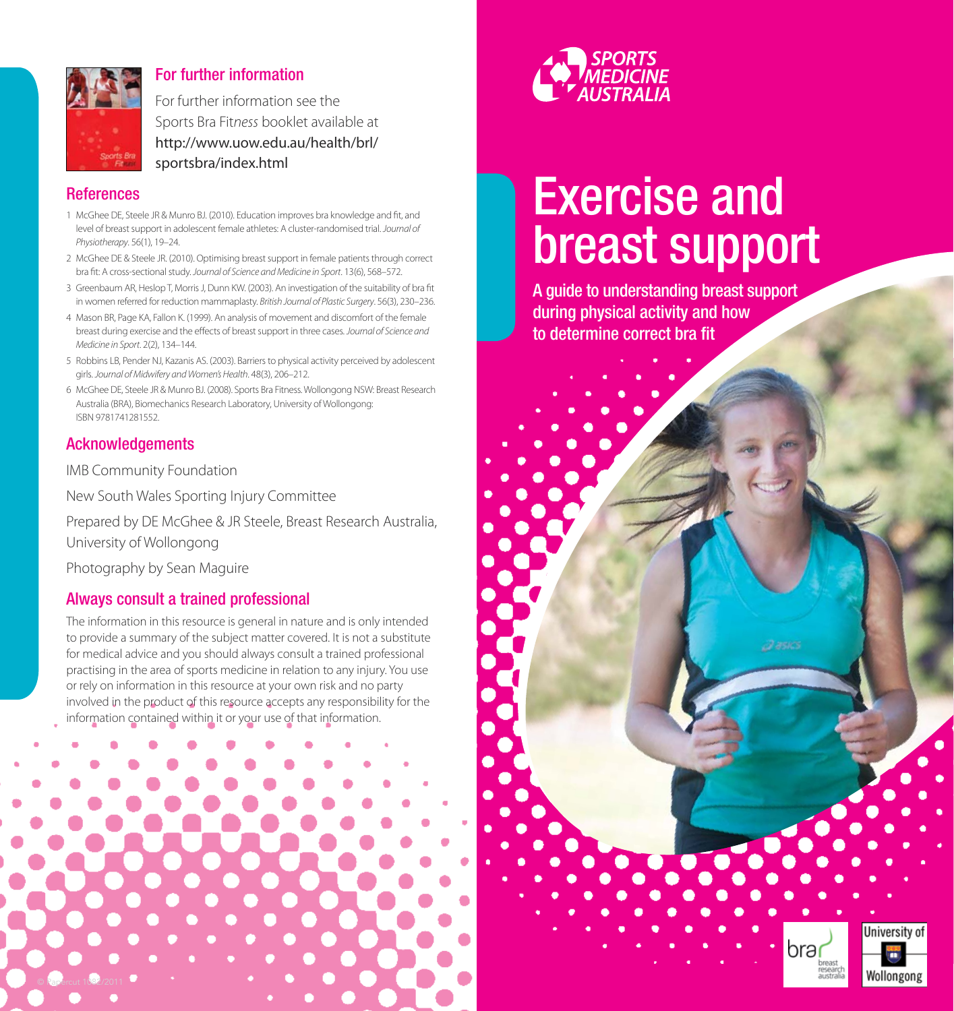

#### For further information

For further information see the Sports Bra Fit*ness* booklet available at [http://www.uow.edu.au/health/brl/](http://www.uow.edu.au/health/brl/sportsbra/index.html) sportsbra/index.html

#### **References**

- 1 McGhee DE, Steele JR & Munro BJ. (2010). Education improves bra knowledge and fit, and level of breast support in adolescent female athletes: A cluster-randomised trial. *Journal of Physiotherapy*. 56(1), 19–24.
- 2 McGhee DE & Steele JR. (2010). Optimising breast support in female patients through correct bra fit: A cross-sectional study. *Journal of Science and Medicine in Sport*. 13(6), 568–572.
- 3 Greenbaum AR, Heslop T, Morris J, Dunn KW. (2003). An investigation of the suitability of bra fit in women referred for reduction mammaplasty. *British Journal of Plastic Surgery*. 56(3), 230–236.
- 4 Mason BR, Page KA, Fallon K. (1999). An analysis of movement and discomfort of the female breast during exercise and the effects of breast support in three cases. *Journal of Science and Medicine in Sport*. 2(2), 134–144.
- 5 Robbins LB, Pender NJ, Kazanis AS. (2003). Barriers to physical activity perceived by adolescent girls. *Journal of Midwifery and Women's Health*. 48(3), 206–212.
- 6 McGhee DE, Steele JR & Munro BJ. (2008). Sports Bra Fitness. Wollongong NSW: Breast Research Australia (BRA), Biomechanics Research Laboratory, University of Wollongong: ISBN 9781741281552.

#### Acknowledgements

IMB Community Foundation

New South Wales Sporting Injury Committee

Prepared by DE McGhee & JR Steele, Breast Research Australia, University of Wollongong

Photography by Sean Maguire

#### Always consult a trained professional

The information in this resource is general in nature and is only intended to provide a summary of the subject matter covered. It is not a substitute for medical advice and you should always consult a trained professional practising in the area of sports medicine in relation to any injury. You use or rely on information in this resource at your own risk and no party involved in the product of this resource accepts any responsibility for the information contained within it or your use of that information.





# Exercise and breast support

A guide to understanding breast support during physical activity and how to determine correct bra fit

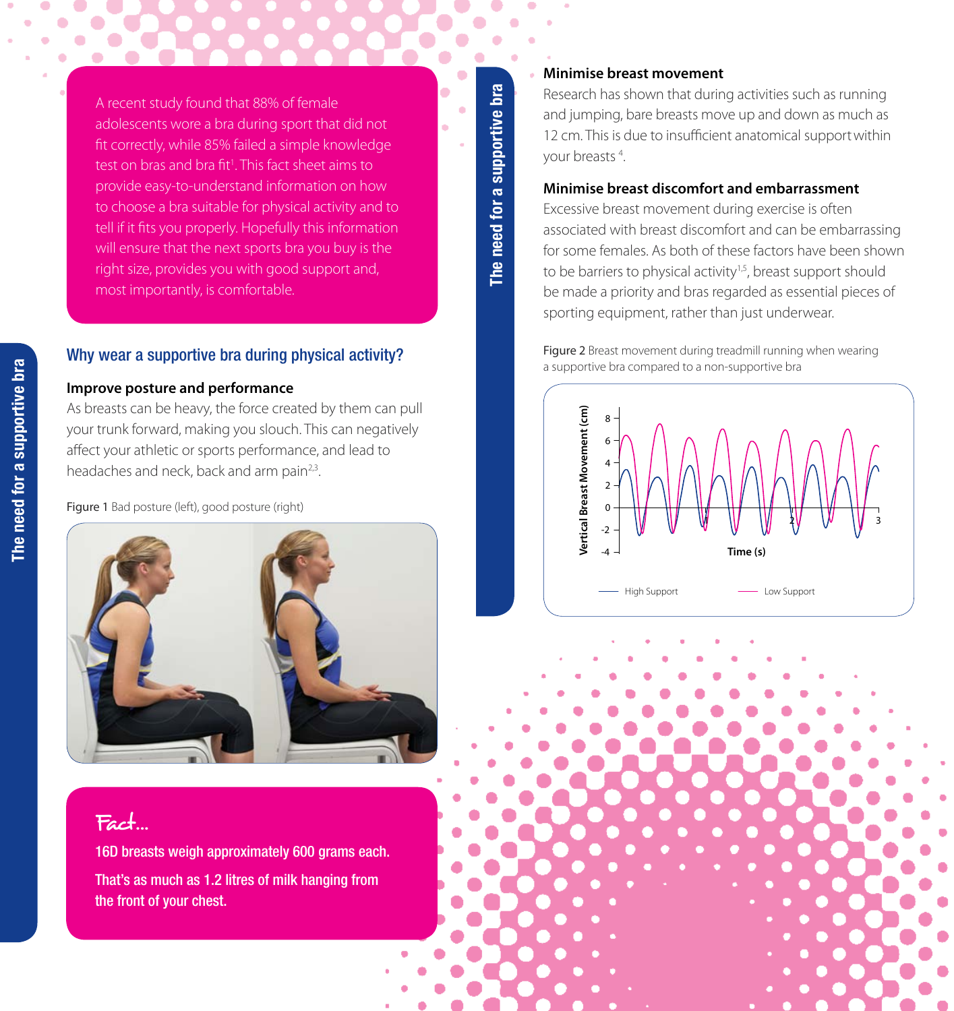A recent study found that 88% of female adolescents wore a bra during sport that did not fit correctly, while 85% failed a simple knowledge test on bras and bra fit<sup>1</sup>. This fact sheet aims to provide easy-to-understand information on how to choose a bra suitable for physical activity and to tell if it fits you properly. Hopefully this information will ensure that the next sports bra you buy is the right size, provides you with good support and, most importantly, is comfortable.

#### Why wear a supportive bra during physical activity?

#### **Improve posture and performance**

As breasts can be heavy, the force created by them can pull your trunk forward, making you slouch. This can negatively affect your athletic or sports performance, and lead to headaches and neck, back and arm pain<sup>2,3</sup>.

Figure 1 Bad posture (left), good posture (right)



### Fact…

16D breasts weigh approximately 600 grams each.

That's as much as 1.2 litres of milk hanging from the front of your chest.

# bra **The need for a supportive bra**  The need for a supportive I

#### **Minimise breast movement**

Research has shown that during activities such as running and jumping, bare breasts move up and down as much as 12 cm. This is due to insufficient anatomical supportwithin your breasts 4 .

#### **Minimise breast discomfort and embarrassment**

Excessive breast movement during exercise is often associated with breast discomfort and can be embarrassing for some females. As both of these factors have been shown to be barriers to physical activity<sup>1,5</sup>, breast support should be made a priority and bras regarded as essential pieces of sporting equipment, rather than just underwear.

Figure 2 Breast movement during treadmill running when wearing a supportive bra compared to a non-supportive bra



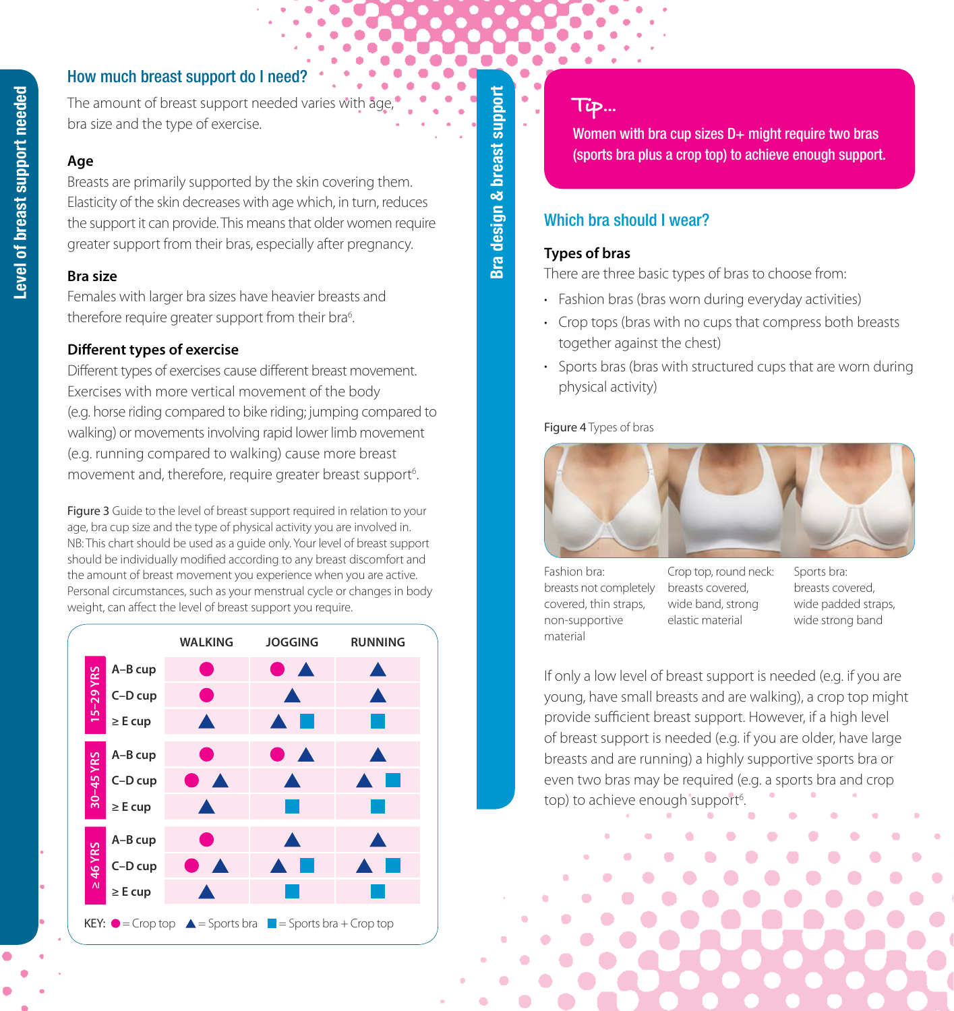#### How much breast support do I need?

The amount of breast support needed varies with bra size and the type of exercise.

#### **Age**

Breasts are primarily supported by the skin covering them. Elasticity of the skin decreases with age which, in turn, reduces the support it can provide. This means that older women require greater support from their bras, especially after pregnancy.

#### **Bra size**

Females with larger bra sizes have heavier breasts and therefore require greater support from their bra<sup>6</sup>.

#### **Different types of exercise**

Different types of exercises cause different breast movement. Exercises with more vertical movement of the body (e.g. horse riding compared to bike riding; jumping compared to walking) or movements involving rapid lower limb movement (e.g. running compared to walking) cause more breast movement and, therefore, require greater breast support<sup>6</sup>. .

Figure 3 Guide to the level of breast support required in relation to your age, bra cup size and the type of physical activity you are involved in. NB: This chart should be used as a guide only. Your level of breast support should be individually modified according to any breast discomfort and the amount of breast movement you experience when you are active. Personal circumstances, such as your menstrual cycle or changes in body weight, can affect the level of breast support you require.



Bra design & breast support **Bra design & breast support**

#### Tip…

Women with bra cup sizes  $D+$  might require two bras (sports bra plus a crop top) to achieve enough support.

#### Which hra should I wear?

#### **Types of bras**

There are three basic types of bras to choose from:

- Fashion bras (bras worn during everyday activities)
- Crop tops (bras with no cups that compress both breasts) together against the chest)
- Sports bras (bras with structured cups that are worn during physical activity)

#### Figure 4 Types of bras



Fashion bra: breasts not completely covered, thin straps, non-supportive material

Crop top, round neck: breasts covered, wide band, strong elastic material

Sports bra: breasts covered, wide padded straps, wide strong band

If only a low level of breast support is needed (e.g. if you are young, have small breasts and are walking), a crop top might provide sufficient breast support. However, if a high level of breast support is needed (e.g. if you are older, have large breasts and are running) a highly supportive sports bra or even two bras may be required (e.g. a sports bra and crop top) to achieve enough support<sup>6</sup>. .<br>.